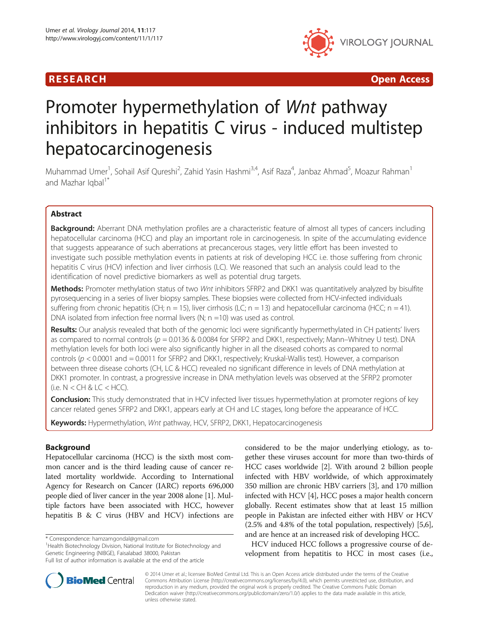

R E S EAR CH Open Access

# Promoter hypermethylation of Wnt pathway inhibitors in hepatitis C virus - induced multistep hepatocarcinogenesis

Muhammad Umer<sup>1</sup>, Sohail Asif Qureshi<sup>2</sup>, Zahid Yasin Hashmi<sup>3,4</sup>, Asif Raza<sup>4</sup>, Janbaz Ahmad<sup>5</sup>, Moazur Rahman<sup>1</sup> and Mazhar Igbal<sup>1\*</sup>

# Abstract

Background: Aberrant DNA methylation profiles are a characteristic feature of almost all types of cancers including hepatocellular carcinoma (HCC) and play an important role in carcinogenesis. In spite of the accumulating evidence that suggests appearance of such aberrations at precancerous stages, very little effort has been invested to investigate such possible methylation events in patients at risk of developing HCC i.e. those suffering from chronic hepatitis C virus (HCV) infection and liver cirrhosis (LC). We reasoned that such an analysis could lead to the identification of novel predictive biomarkers as well as potential drug targets.

Methods: Promoter methylation status of two Wnt inhibitors SFRP2 and DKK1 was quantitatively analyzed by bisulfite pyrosequencing in a series of liver biopsy samples. These biopsies were collected from HCV-infected individuals suffering from chronic hepatitis (CH;  $n = 15$ ), liver cirrhosis (LC;  $n = 13$ ) and hepatocellular carcinoma (HCC;  $n = 41$ ). DNA isolated from infection free normal livers (N;  $n = 10$ ) was used as control.

Results: Our analysis revealed that both of the genomic loci were significantly hypermethylated in CH patients' livers as compared to normal controls ( $p = 0.0136$  & 0.0084 for SFRP2 and DKK1, respectively; Mann–Whitney U test). DNA methylation levels for both loci were also significantly higher in all the diseased cohorts as compared to normal controls ( $p < 0.0001$  and  $= 0.0011$  for SFRP2 and DKK1, respectively; Kruskal-Wallis test). However, a comparison between three disease cohorts (CH, LC & HCC) revealed no significant difference in levels of DNA methylation at DKK1 promoter. In contrast, a progressive increase in DNA methylation levels was observed at the SFRP2 promoter  $(i.e. N < CH & LC < HCC)$ .

**Conclusion:** This study demonstrated that in HCV infected liver tissues hypermethylation at promoter regions of key cancer related genes SFRP2 and DKK1, appears early at CH and LC stages, long before the appearance of HCC.

Keywords: Hypermethylation, Wnt pathway, HCV, SFRP2, DKK1, Hepatocarcinogenesis

# Background

Hepatocellular carcinoma (HCC) is the sixth most common cancer and is the third leading cause of cancer related mortality worldwide. According to International Agency for Research on Cancer (IARC) reports 696,000 people died of liver cancer in the year 2008 alone [[1\]](#page-8-0). Multiple factors have been associated with HCC, however hepatitis B & C virus (HBV and HCV) infections are

<sup>1</sup>Health Biotechnology Division, National Institute for Biotechnology and Genetic Engineering (NIBGE), Faisalabad 38000, Pakistan

considered to be the major underlying etiology, as together these viruses account for more than two-thirds of HCC cases worldwide [[2](#page-8-0)]. With around 2 billion people infected with HBV worldwide, of which approximately 350 million are chronic HBV carriers [\[3](#page-8-0)], and 170 million infected with HCV [\[4\]](#page-8-0), HCC poses a major health concern globally. Recent estimates show that at least 15 million people in Pakistan are infected either with HBV or HCV (2.5% and 4.8% of the total population, respectively) [[5](#page-8-0),[6](#page-8-0)], and are hence at an increased risk of developing HCC.

HCV induced HCC follows a progressive course of development from hepatitis to HCC in most cases (i.e.,



© 2014 Umer et al.; licensee BioMed Central Ltd. This is an Open Access article distributed under the terms of the Creative Commons Attribution License [\(http://creativecommons.org/licenses/by/4.0\)](http://creativecommons.org/licenses/by/4.0), which permits unrestricted use, distribution, and reproduction in any medium, provided the original work is properly credited. The Creative Commons Public Domain Dedication waiver [\(http://creativecommons.org/publicdomain/zero/1.0/](http://creativecommons.org/publicdomain/zero/1.0/)) applies to the data made available in this article, unless otherwise stated.

<sup>\*</sup> Correspondence: [hamzamgondal@gmail.com](mailto:hamzamgondal@gmail.com) <sup>1</sup>

Full list of author information is available at the end of the article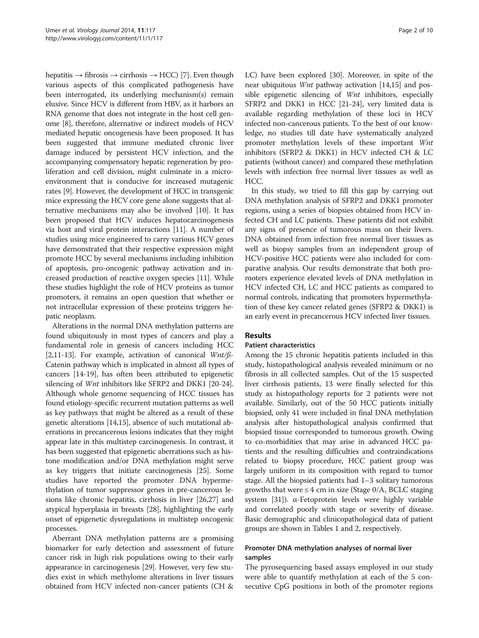hepatitis  $\rightarrow$  fibrosis  $\rightarrow$  cirrhosis  $\rightarrow$  HCC) [[7](#page-8-0)]. Even though various aspects of this complicated pathogenesis have been interrogated, its underlying mechanism(s) remain elusive. Since HCV is different from HBV, as it harbors an RNA genome that does not integrate in the host cell genome [[8](#page-8-0)], therefore, alternative or indirect models of HCV mediated hepatic oncogenesis have been proposed. It has been suggested that immune mediated chronic liver damage induced by persistent HCV infection, and the accompanying compensatory hepatic regeneration by proliferation and cell division, might culminate in a microenvironment that is conducive for increased mutagenic rates [[9](#page-8-0)]. However, the development of HCC in transgenic mice expressing the HCV core gene alone suggests that alternative mechanisms may also be involved [[10\]](#page-8-0). It has been proposed that HCV induces hepatocarcinogenesis via host and viral protein interactions [\[11\]](#page-8-0). A number of studies using mice engineered to carry various HCV genes have demonstrated that their respective expression might promote HCC by several mechanisms including inhibition of apoptosis, pro-oncogenic pathway activation and increased production of reactive oxygen species [\[11\]](#page-8-0). While these studies highlight the role of HCV proteins as tumor promoters, it remains an open question that whether or not intracellular expression of these proteins triggers hepatic neoplasm.

Alterations in the normal DNA methylation patterns are found ubiquitously in most types of cancers and play a fundamental role in genesis of cancers including HCC [[2,11](#page-8-0)-[13](#page-8-0)]. For example, activation of canonical Wnt/ß-Catenin pathway which is implicated in almost all types of cancers [\[14-19](#page-8-0)], has often been attributed to epigenetic silencing of *Wnt* inhibitors like SFRP2 and DKK1 [[20](#page-8-0)-[24](#page-8-0)]. Although whole genome sequencing of HCC tissues has found etiology-specific recurrent mutation patterns as well as key pathways that might be altered as a result of these genetic alterations [[14,15\]](#page-8-0), absence of such mutational aberrations in precancerous lesions indicates that they might appear late in this multistep carcinogenesis. In contrast, it has been suggested that epigenetic aberrations such as histone modification and/or DNA methylation might serve as key triggers that initiate carcinogenesis [\[25](#page-8-0)]. Some studies have reported the promoter DNA hypermethylation of tumor suppressor genes in pre-cancerous lesions like chronic hepatitis, cirrhosis in liver [\[26,27\]](#page-8-0) and atypical hyperplasia in breasts [\[28](#page-8-0)], highlighting the early onset of epigenetic dysregulations in multistep oncogenic processes.

Aberrant DNA methylation patterns are a promising biomarker for early detection and assessment of future cancer risk in high risk populations owing to their early appearance in carcinogenesis [[29](#page-8-0)]. However, very few studies exist in which methylome alterations in liver tissues obtained from HCV infected non-cancer patients (CH & LC) have been explored [\[30\]](#page-8-0). Moreover, in spite of the near ubiquitous Wnt pathway activation [[14](#page-8-0),[15](#page-8-0)] and possible epigenetic silencing of Wnt inhibitors, especially SFRP2 and DKK1 in HCC [[21](#page-8-0)-[24](#page-8-0)], very limited data is available regarding methylation of these loci in HCV infected non-cancerous patients. To the best of our knowledge, no studies till date have systematically analyzed promoter methylation levels of these important Wnt inhibitors (SFRP2 & DKK1) in HCV infected CH & LC patients (without cancer) and compared these methylation levels with infection free normal liver tissues as well as HCC.

In this study, we tried to fill this gap by carrying out DNA methylation analysis of SFRP2 and DKK1 promoter regions, using a series of biopsies obtained from HCV infected CH and LC patients. These patients did not exhibit any signs of presence of tumorous mass on their livers. DNA obtained from infection free normal liver tissues as well as biopsy samples from an independent group of HCV-positive HCC patients were also included for comparative analysis. Our results demonstrate that both promoters experience elevated levels of DNA methylation in HCV infected CH, LC and HCC patients as compared to normal controls, indicating that promoters hypermethylation of these key cancer related genes (SFRP2 & DKK1) is an early event in precancerous HCV infected liver tissues.

# Results

#### Patient characteristics

Among the 15 chronic hepatitis patients included in this study, histopathological analysis revealed minimum or no fibrosis in all collected samples. Out of the 15 suspected liver cirrhosis patients, 13 were finally selected for this study as histopathology reports for 2 patients were not available. Similarly, out of the 50 HCC patients initially biopsied, only 41 were included in final DNA methylation analysis after histopathological analysis confirmed that biopsied tissue corresponded to tumorous growth. Owing to co-morbidities that may arise in advanced HCC patients and the resulting difficulties and contraindications related to biopsy procedure, HCC patient group was largely uniform in its composition with regard to tumor stage. All the biopsied patients had 1–3 solitary tumorous growths that were  $\leq 4$  cm in size (Stage 0/A, BCLC staging system [[31](#page-8-0)]). α-Fetoprotein levels were highly variable and correlated poorly with stage or severity of disease. Basic demographic and clinicopathological data of patient groups are shown in Tables [1](#page-2-0) and [2](#page-2-0), respectively.

# Promoter DNA methylation analyses of normal liver samples

The pyrosequencing based assays employed in our study were able to quantify methylation at each of the 5 consecutive CpG positions in both of the promoter regions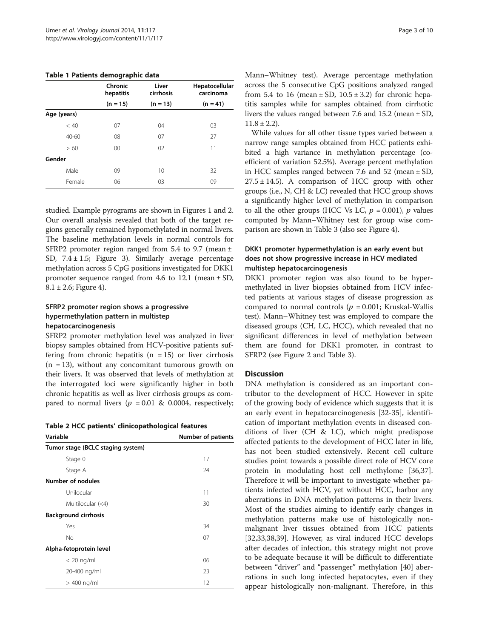<span id="page-2-0"></span>Table 1 Patients demographic data

|             | Chronic<br>hepatitis | Liver<br>cirrhosis | Hepatocellular<br>carcinoma |
|-------------|----------------------|--------------------|-----------------------------|
|             | $(n = 15)$           | $(n = 13)$         | $(n = 41)$                  |
| Age (years) |                      |                    |                             |
| < 40        | 07                   | 04                 | 03                          |
| $40 - 60$   | 08                   | 07                 | 27                          |
| >60         | $00 \,$              | 02                 | 11                          |
| Gender      |                      |                    |                             |
| Male        | 09                   | 10                 | 32                          |
| Female      | 06                   | 03                 | 09                          |

studied. Example pyrograms are shown in Figures [1](#page-3-0) and [2](#page-4-0). Our overall analysis revealed that both of the target regions generally remained hypomethylated in normal livers. The baseline methylation levels in normal controls for SFRP2 promoter region ranged from 5.4 to 9.7 (mean ± SD,  $7.4 \pm 1.5$ ; Figure [3](#page-4-0)). Similarly average percentage methylation across 5 CpG positions investigated for DKK1 promoter sequence ranged from 4.6 to 12.1 (mean  $\pm$  SD,  $8.1 \pm 2.6$ ; Figure [4](#page-5-0)).

# SFRP2 promoter region shows a progressive hypermethylation pattern in multistep hepatocarcinogenesis

SFRP2 promoter methylation level was analyzed in liver biopsy samples obtained from HCV-positive patients suffering from chronic hepatitis  $(n = 15)$  or liver cirrhosis  $(n = 13)$ , without any concomitant tumorous growth on their livers. It was observed that levels of methylation at the interrogated loci were significantly higher in both chronic hepatitis as well as liver cirrhosis groups as compared to normal livers ( $p = 0.01$  & 0.0004, respectively;

|  |  | Table 2 HCC patients' clinicopathological features |  |
|--|--|----------------------------------------------------|--|
|--|--|----------------------------------------------------|--|

| Variable                          | <b>Number of patients</b> |  |  |
|-----------------------------------|---------------------------|--|--|
| Tumor stage (BCLC staging system) |                           |  |  |
| Stage 0                           | 17                        |  |  |
| Stage A                           | 24                        |  |  |
| <b>Number of nodules</b>          |                           |  |  |
| Unilocular                        | 11                        |  |  |
| Multilocular (<4)                 | 30                        |  |  |
| <b>Background cirrhosis</b>       |                           |  |  |
| Yes                               | 34                        |  |  |
| No                                | 07                        |  |  |
| Alpha-fetoprotein level           |                           |  |  |
| $< 20$ ng/ml                      | 06                        |  |  |
| 20-400 ng/ml                      | 23                        |  |  |
| $>$ 400 ng/ml                     | 12                        |  |  |

Mann–Whitney test). Average percentage methylation across the 5 consecutive CpG positions analyzed ranged from 5.4 to 16 (mean  $\pm$  SD, 10.5  $\pm$  3.2) for chronic hepatitis samples while for samples obtained from cirrhotic livers the values ranged between 7.6 and 15.2 (mean ± SD,  $11.8 \pm 2.2$ ).

While values for all other tissue types varied between a narrow range samples obtained from HCC patients exhibited a high variance in methylation percentage (coefficient of variation 52.5%). Average percent methylation in HCC samples ranged between 7.6 and 52 (mean  $\pm$  SD,  $27.5 \pm 14.5$ ). A comparison of HCC group with other groups (i.e., N, CH & LC) revealed that HCC group shows a significantly higher level of methylation in comparison to all the other groups (HCC Vs LC,  $p = 0.001$ ), p values computed by Mann–Whitney test for group wise comparison are shown in Table [3](#page-5-0) (also see Figure [4](#page-5-0)).

# DKK1 promoter hypermethylation is an early event but does not show progressive increase in HCV mediated multistep hepatocarcinogenesis

DKK1 promoter region was also found to be hypermethylated in liver biopsies obtained from HCV infected patients at various stages of disease progression as compared to normal controls ( $p = 0.001$ ; Kruskal-Wallis test). Mann–Whitney test was employed to compare the diseased groups (CH, LC, HCC), which revealed that no significant differences in level of methylation between them are found for DKK1 promoter, in contrast to SFRP2 (see Figure [2](#page-4-0) and Table [3](#page-5-0)).

## **Discussion**

DNA methylation is considered as an important contributor to the development of HCC. However in spite of the growing body of evidence which suggests that it is an early event in hepatocarcinogenesis [[32-35\]](#page-8-0), identification of important methylation events in diseased conditions of liver (CH & LC), which might predispose affected patients to the development of HCC later in life, has not been studied extensively. Recent cell culture studies point towards a possible direct role of HCV core protein in modulating host cell methylome [\[36](#page-8-0)[,37](#page-9-0)]. Therefore it will be important to investigate whether patients infected with HCV, yet without HCC, harbor any aberrations in DNA methylation patterns in their livers. Most of the studies aiming to identify early changes in methylation patterns make use of histologically nonmalignant liver tissues obtained from HCC patients [[32,33,](#page-8-0)[38,39\]](#page-9-0). However, as viral induced HCC develops after decades of infection, this strategy might not prove to be adequate because it will be difficult to differentiate between "driver" and "passenger" methylation [\[40\]](#page-9-0) aberrations in such long infected hepatocytes, even if they appear histologically non-malignant. Therefore, in this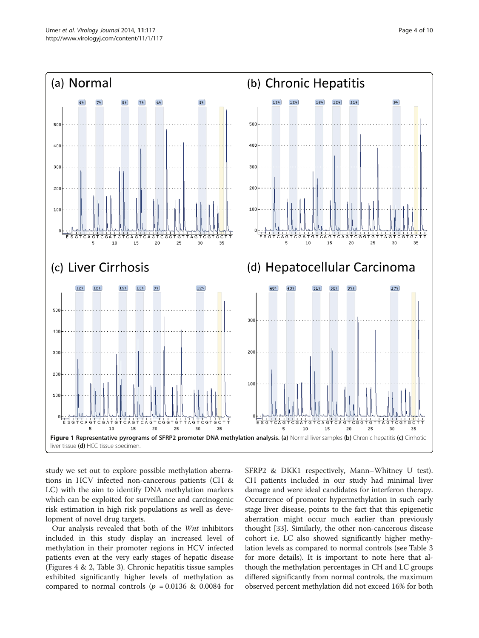<span id="page-3-0"></span>

study we set out to explore possible methylation aberrations in HCV infected non-cancerous patients (CH & LC) with the aim to identify DNA methylation markers which can be exploited for surveillance and carcinogenic risk estimation in high risk populations as well as development of novel drug targets.

Our analysis revealed that both of the Wnt inhibitors included in this study display an increased level of methylation in their promoter regions in HCV infected patients even at the very early stages of hepatic disease (Figures [4](#page-5-0) & [2](#page-4-0), Table [3](#page-5-0)). Chronic hepatitis tissue samples exhibited significantly higher levels of methylation as compared to normal controls ( $p = 0.0136$  & 0.0084 for SFRP2 & DKK1 respectively, Mann–Whitney U test). CH patients included in our study had minimal liver damage and were ideal candidates for interferon therapy. Occurrence of promoter hypermethylation in such early stage liver disease, points to the fact that this epigenetic aberration might occur much earlier than previously thought [[33](#page-8-0)]. Similarly, the other non-cancerous disease cohort i.e. LC also showed significantly higher methylation levels as compared to normal controls (see Table [3](#page-5-0) for more details). It is important to note here that although the methylation percentages in CH and LC groups differed significantly from normal controls, the maximum observed percent methylation did not exceed 16% for both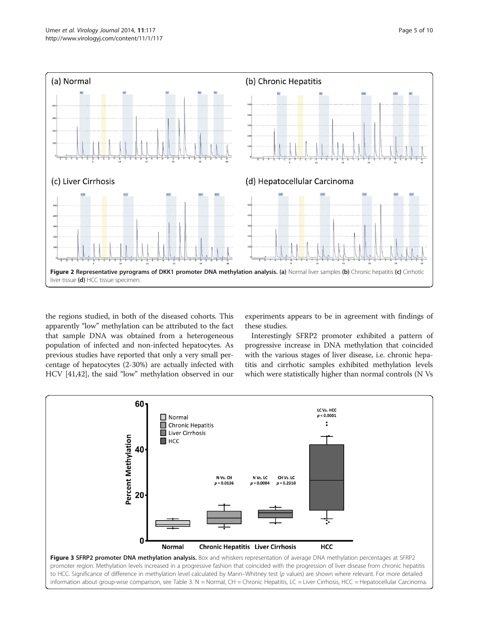<span id="page-4-0"></span>

the regions studied, in both of the diseased cohorts. This apparently "low" methylation can be attributed to the fact that sample DNA was obtained from a heterogeneous population of infected and non-infected hepatocytes. As previous studies have reported that only a very small percentage of hepatocytes (2-30%) are actually infected with HCV [\[41,42\]](#page-9-0), the said "low" methylation observed in our

experiments appears to be in agreement with findings of these studies.

Interestingly SFRP2 promoter exhibited a pattern of progressive increase in DNA methylation that coincided with the various stages of liver disease, i.e. chronic hepatitis and cirrhotic samples exhibited methylation levels which were statistically higher than normal controls (N Vs



information about group-wise comparison, see Table [3.](#page-5-0) N = Normal, CH = Chronic Hepatitis, LC = Liver Cirrhosis, HCC = Hepatocellular Carcinoma.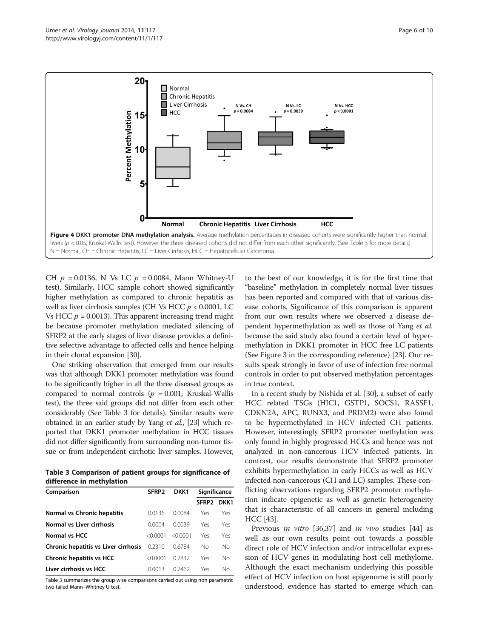<span id="page-5-0"></span>

CH  $p = 0.0136$ , N Vs LC  $p = 0.0084$ , Mann Whitney-U test). Similarly, HCC sample cohort showed significantly higher methylation as compared to chronic hepatitis as well as liver cirrhosis samples (CH Vs HCC  $p < 0.0001$ , LC Vs HCC  $p = 0.0013$ ). This apparent increasing trend might be because promoter methylation mediated silencing of SFRP2 at the early stages of liver disease provides a definitive selective advantage to affected cells and hence helping in their clonal expansion [\[30\]](#page-8-0).

One striking observation that emerged from our results was that although DKK1 promoter methylation was found to be significantly higher in all the three diseased groups as compared to normal controls ( $p = 0.001$ ; Kruskal-Wallis test), the three said groups did not differ from each other considerably (See Table 3 for details). Similar results were obtained in an earlier study by Yang et al., [\[23](#page-8-0)] which reported that DKK1 promoter methylation in HCC tissues did not differ significantly from surrounding non-tumor tissue or from independent cirrhotic liver samples. However,

Table 3 Comparison of patient groups for significance of difference in methylation

| Comparison                           | SFRP <sub>2</sub> | DKK1       | Significance      |      |
|--------------------------------------|-------------------|------------|-------------------|------|
|                                      |                   |            | SFRP <sub>2</sub> | DKK1 |
| Normal vs Chronic hepatitis          | 0.0136            | 0.0084     | Yes               | Yes  |
| Normal vs Liver cirrhosis            | 0.0004            | 0.0039     | Yes               | Yes  |
| Normal vs HCC                        | $<$ 0.0001        | $<$ 0.0001 | Yes               | Yes  |
| Chronic hepatitis vs Liver cirrhosis | 0.2310            | 0.6784     | Nο                | Nο   |
| <b>Chronic hepatitis vs HCC</b>      | $<$ 0.0001        | 0.2832     | Yes               | No   |
| Liver cirrhosis vs HCC               | 0.0013            | 0.7462     | Yes               | Nο   |

Table 3 summarizes the group wise comparisons carried out using non parametric two tailed Mann–Whitney U test.

to the best of our knowledge, it is for the first time that "baseline" methylation in completely normal liver tissues has been reported and compared with that of various disease cohorts. Significance of this comparison is apparent from our own results where we observed a disease dependent hypermethylation as well as those of Yang et al. because the said study also found a certain level of hypermethylation in DKK1 promoter in HCC free LC patients (See Figure [3](#page-4-0) in the corresponding reference) [[23](#page-8-0)]. Our results speak strongly in favor of use of infection free normal controls in order to put observed methylation percentages in true context.

In a recent study by Nishida et al. [\[30](#page-8-0)], a subset of early HCC related TSGs (HIC1, GSTP1, SOCS1, RASSF1, CDKN2A, APC, RUNX3, and PRDM2) were also found to be hypermethylated in HCV infected CH patients. However, interestingly SFRP2 promoter methylation was only found in highly progressed HCCs and hence was not analyzed in non-cancerous HCV infected patients. In contrast, our results demonstrate that SFRP2 promoter exhibits hypermethylation in early HCCs as well as HCV infected non-cancerous (CH and LC) samples. These conflicting observations regarding SFRP2 promoter methylation indicate epigenetic as well as genetic heterogeneity that is characteristic of all cancers in general including HCC [\[43\]](#page-9-0).

Previous *in vitro* [\[36](#page-8-0)[,37](#page-9-0)] and *in vivo* studies [\[44](#page-9-0)] as well as our own results point out towards a possible direct role of HCV infection and/or intracellular expression of HCV genes in modulating host cell methylome. Although the exact mechanism underlying this possible effect of HCV infection on host epigenome is still poorly understood, evidence has started to emerge which can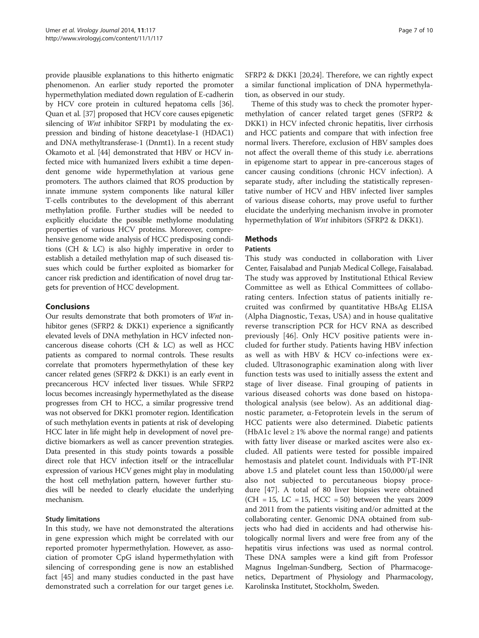provide plausible explanations to this hitherto enigmatic phenomenon. An earlier study reported the promoter hypermethylation mediated down regulation of E-cadherin by HCV core protein in cultured hepatoma cells [[36](#page-8-0)]. Quan et al. [\[37\]](#page-9-0) proposed that HCV core causes epigenetic silencing of *Wnt* inhibitor SFRP1 by modulating the expression and binding of histone deacetylase-1 (HDAC1) and DNA methyltransferase-1 (Dnmt1). In a recent study Okamoto et al. [[44](#page-9-0)] demonstrated that HBV or HCV infected mice with humanized livers exhibit a time dependent genome wide hypermethylation at various gene promoters. The authors claimed that ROS production by innate immune system components like natural killer T-cells contributes to the development of this aberrant methylation profile. Further studies will be needed to explicitly elucidate the possible methylome modulating properties of various HCV proteins. Moreover, comprehensive genome wide analysis of HCC predisposing conditions (CH & LC) is also highly imperative in order to establish a detailed methylation map of such diseased tissues which could be further exploited as biomarker for cancer risk prediction and identification of novel drug targets for prevention of HCC development.

# Conclusions

Our results demonstrate that both promoters of Wnt inhibitor genes (SFRP2 & DKK1) experience a significantly elevated levels of DNA methylation in HCV infected noncancerous disease cohorts (CH & LC) as well as HCC patients as compared to normal controls. These results correlate that promoters hypermethylation of these key cancer related genes (SFRP2 & DKK1) is an early event in precancerous HCV infected liver tissues. While SFRP2 locus becomes increasingly hypermethylated as the disease progresses from CH to HCC, a similar progressive trend was not observed for DKK1 promoter region. Identification of such methylation events in patients at risk of developing HCC later in life might help in development of novel predictive biomarkers as well as cancer prevention strategies. Data presented in this study points towards a possible direct role that HCV infection itself or the intracellular expression of various HCV genes might play in modulating the host cell methylation pattern, however further studies will be needed to clearly elucidate the underlying mechanism.

## Study limitations

In this study, we have not demonstrated the alterations in gene expression which might be correlated with our reported promoter hypermethylation. However, as association of promoter CpG island hypermethylation with silencing of corresponding gene is now an established fact [[45\]](#page-9-0) and many studies conducted in the past have demonstrated such a correlation for our target genes i.e. SFRP2 & DKK1 [[20,24\]](#page-8-0). Therefore, we can rightly expect a similar functional implication of DNA hypermethylation, as observed in our study.

Theme of this study was to check the promoter hypermethylation of cancer related target genes (SFRP2 & DKK1) in HCV infected chronic hepatitis, liver cirrhosis and HCC patients and compare that with infection free normal livers. Therefore, exclusion of HBV samples does not affect the overall theme of this study i.e. aberrations in epigenome start to appear in pre-cancerous stages of cancer causing conditions (chronic HCV infection). A separate study, after including the statistically representative number of HCV and HBV infected liver samples of various disease cohorts, may prove useful to further elucidate the underlying mechanism involve in promoter hypermethylation of *Wnt* inhibitors (SFRP2 & DKK1).

# **Mathods**

#### Patients

This study was conducted in collaboration with Liver Center, Faisalabad and Punjab Medical College, Faisalabad. The study was approved by Institutional Ethical Review Committee as well as Ethical Committees of collaborating centers. Infection status of patients initially recruited was confirmed by quantitative HBsAg ELISA (Alpha Diagnostic, Texas, USA) and in house qualitative reverse transcription PCR for HCV RNA as described previously [\[46](#page-9-0)]. Only HCV positive patients were included for further study. Patients having HBV infection as well as with HBV & HCV co-infections were excluded. Ultrasonographic examination along with liver function tests was used to initially assess the extent and stage of liver disease. Final grouping of patients in various diseased cohorts was done based on histopathological analysis (see below). As an additional diagnostic parameter, α-Fetoprotein levels in the serum of HCC patients were also determined. Diabetic patients (HbA1c level  $\geq$  1% above the normal range) and patients with fatty liver disease or marked ascites were also excluded. All patients were tested for possible impaired hemostasis and platelet count. Individuals with PT-INR above 1.5 and platelet count less than  $150,000/\mu$ l were also not subjected to percutaneous biopsy procedure [[47](#page-9-0)]. A total of 80 liver biopsies were obtained  $(CH = 15, LC = 15, HCC = 50)$  between the years 2009 and 2011 from the patients visiting and/or admitted at the collaborating center. Genomic DNA obtained from subjects who had died in accidents and had otherwise histologically normal livers and were free from any of the hepatitis virus infections was used as normal control. These DNA samples were a kind gift from Professor Magnus Ingelman-Sundberg, Section of Pharmacogenetics, Department of Physiology and Pharmacology, Karolinska Institutet, Stockholm, Sweden.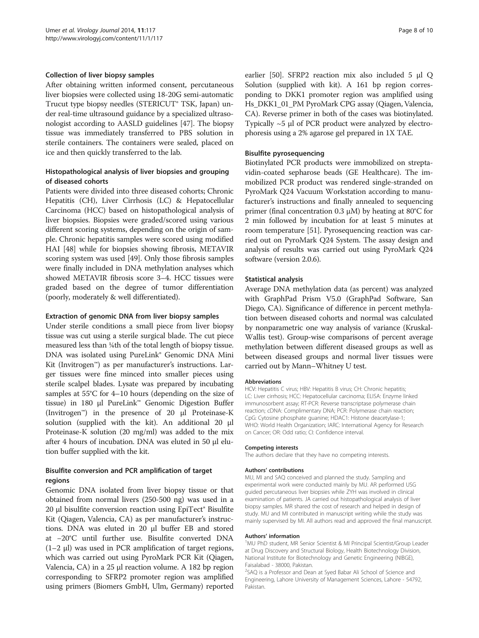#### Collection of liver biopsy samples

After obtaining written informed consent, percutaneous liver biopsies were collected using 18-20G semi-automatic Trucut type biopsy needles (STERICUT® TSK, Japan) under real-time ultrasound guidance by a specialized ultrasonologist according to AASLD guidelines [\[47\]](#page-9-0). The biopsy tissue was immediately transferred to PBS solution in sterile containers. The containers were sealed, placed on ice and then quickly transferred to the lab.

## Histopathological analysis of liver biopsies and grouping of diseased cohorts

Patients were divided into three diseased cohorts; Chronic Hepatitis (CH), Liver Cirrhosis (LC) & Hepatocellular Carcinoma (HCC) based on histopathological analysis of liver biopsies. Biopsies were graded/scored using various different scoring systems, depending on the origin of sample. Chronic hepatitis samples were scored using modified HAI [[48](#page-9-0)] while for biopsies showing fibrosis, METAVIR scoring system was used [[49](#page-9-0)]. Only those fibrosis samples were finally included in DNA methylation analyses which showed METAVIR fibrosis score 3–4. HCC tissues were graded based on the degree of tumor differentiation (poorly, moderately & well differentiated).

#### Extraction of genomic DNA from liver biopsy samples

Under sterile conditions a small piece from liver biopsy tissue was cut using a sterile surgical blade. The cut piece measured less than ¼th of the total length of biopsy tissue. DNA was isolated using PureLink® Genomic DNA Mini Kit (Invitrogen™) as per manufacturer's instructions. Larger tissues were fine minced into smaller pieces using sterile scalpel blades. Lysate was prepared by incubating samples at 55°C for 4–10 hours (depending on the size of tissue) in 180 μl PureLink™ Genomic Digestion Buffer (Invitrogen™) in the presence of 20 μl Proteinase-K solution (supplied with the kit). An additional 20 μl Proteinase-K solution (20 mg/ml) was added to the mix after 4 hours of incubation. DNA was eluted in 50 μl elution buffer supplied with the kit.

## Bisulfite conversion and PCR amplification of target regions

Genomic DNA isolated from liver biopsy tissue or that obtained from normal livers (250-500 ng) was used in a 20 μl bisulfite conversion reaction using EpiTect® Bisulfite Kit (Qiagen, Valencia, CA) as per manufacturer's instructions. DNA was eluted in 20 μl buffer EB and stored at −20°C until further use. Bisulfite converted DNA (1–2 μl) was used in PCR amplification of target regions, which was carried out using PyroMark PCR Kit (Qiagen, Valencia, CA) in a 25 μl reaction volume. A 182 bp region corresponding to SFRP2 promoter region was amplified using primers (Biomers GmbH, Ulm, Germany) reported

earlier [\[50\]](#page-9-0). SFRP2 reaction mix also included 5 μl Q Solution (supplied with kit). A 161 bp region corresponding to DKK1 promoter region was amplified using Hs\_DKK1\_01\_PM PyroMark CPG assay (Qiagen, Valencia, CA). Reverse primer in both of the cases was biotinylated. Typically ~5 μl of PCR product were analyzed by electrophoresis using a 2% agarose gel prepared in 1X TAE.

#### Bisulfite pyrosequencing

Biotinylated PCR products were immobilized on streptavidin-coated sepharose beads (GE Healthcare). The immobilized PCR product was rendered single-stranded on PyroMark Q24 Vacuum Workstation according to manufacturer's instructions and finally annealed to sequencing primer (final concentration 0.3 μM) by heating at 80 $°C$  for 2 min followed by incubation for at least 5 minutes at room temperature [\[51\]](#page-9-0). Pyrosequencing reaction was carried out on PyroMark Q24 System. The assay design and analysis of results was carried out using PyroMark Q24 software (version 2.0.6).

#### Statistical analysis

Average DNA methylation data (as percent) was analyzed with GraphPad Prism V5.0 (GraphPad Software, San Diego, CA). Significance of difference in percent methylation between diseased cohorts and normal was calculated by nonparametric one way analysis of variance (Kruskal-Wallis test). Group-wise comparisons of percent average methylation between different diseased groups as well as between diseased groups and normal liver tissues were carried out by Mann–Whitney U test.

#### Abbreviations

HCV: Hepatitis C virus; HBV: Hepatitis B virus; CH: Chronic hepatitis; LC: Liver cirrhosis; HCC: Hepatocellular carcinoma; ELISA: Enzyme linked immunosorbent assay; RT-PCR: Reverse transcriptase polymerase chain reaction; cDNA: Complimentary DNA; PCR: Polymerase chain reaction; CpG: Cytosine phosphate guanine; HDAC1: Histone deacetylase-1; WHO: World Health Organization; IARC: International Agency for Research on Cancer; OR: Odd ratio; CI: Confidence interval.

#### Competing interests

The authors declare that they have no competing interests.

#### Authors' contributions

MU, MI and SAQ conceived and planned the study. Sampling and experimental work were conducted mainly by MU. AR performed USG guided percutaneous liver biopsies while ZYH was involved in clinical examination of patients. JA carried out histopathological analysis of liver biopsy samples. MR shared the cost of research and helped in design of study. MU and MI contributed in manuscript writing while the study was mainly supervised by MI. All authors read and approved the final manuscript.

#### Authors' information <sup>1</sup>

MU PhD student, MR Senior Scientist & MI Principal Scientist/Group Leader at Drug Discovery and Structural Biology, Health Biotechnology Division, National Institute for Biotechnology and Genetic Engineering (NIBGE), Faisalabad - 38000, Pakistan.

<sup>2</sup>SAQ is a Professor and Dean at Syed Babar Ali School of Science and Engineering, Lahore University of Management Sciences, Lahore - 54792, Pakistan.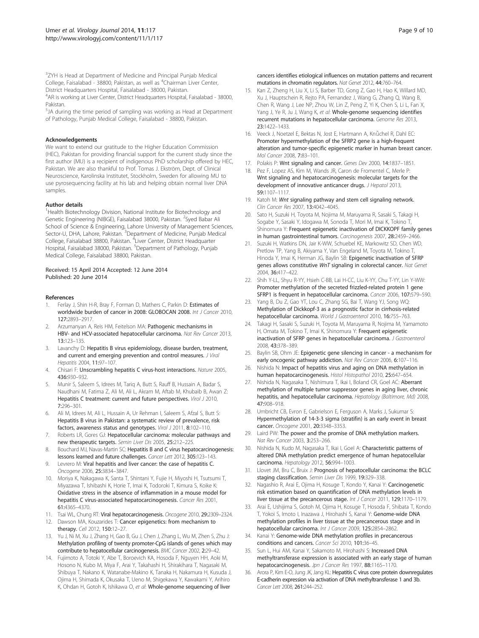<span id="page-8-0"></span><sup>3</sup>ZYH is Head at Department of Medicine and Principal Punjab Medical College, Faisalabad - 38800, Pakistan, as well as <sup>4</sup>Chairman Liver Center, District Headquarters Hospital, Faisalabad - 38000, Pakistan.

4 AR is working at Liver Center, District Headquarters Hospital, Faisalabad - 38000, Pakistan.

<sup>5</sup>JA during the time period of sampling was working as Head at Department of Pathology, Punjab Medical College, Faisalabad - 38800, Pakistan.

#### Acknowledgements

We want to extend our gratitude to the Higher Education Commission (HEC), Pakistan for providing financial support for the current study since the first author (MU) is a recipient of indigenous PhD scholarship offered by HEC, Pakistan. We are also thankful to Prof. Tomas J. Ekström, Dept. of Clinical Neuroscience, Karolinska Institutet, Stockholm, Sweden for allowing MU to use pyrosequencing facility at his lab and helping obtain normal liver DNA samples.

#### Author details

<sup>1</sup>Health Biotechnology Division, National Institute for Biotechnology and Genetic Engineering (NIBGE), Faisalabad 38000, Pakistan. <sup>2</sup>Syed Babar Ali School of Science & Engineering, Lahore University of Management Sciences, Sector-U, DHA, Lahore, Pakistan. <sup>3</sup>Department of Medicine, Punjab Medical College, Faisalabad 38800, Pakistan. <sup>4</sup>Liver Center, District Headquarter Hospital, Faisalabad 38000, Pakistan. <sup>5</sup>Department of Pathology, Punjab Medical College, Faisalabad 38800, Pakistan.

#### Received: 15 April 2014 Accepted: 12 June 2014 Published: 20 June 2014

#### References

- Ferlay J, Shin H-R, Bray F, Forman D, Mathers C, Parkin D: Estimates of worldwide burden of cancer in 2008: GLOBOCAN 2008. Int J Cancer 2010, 127:2893–2917.
- Arzumanyan A, Reis HM, Feitelson MA: Pathogenic mechanisms in HBV- and HCV-associated hepatocellular carcinoma. Nat Rev Cancer 2013, 13:123–135.
- 3. Lavanchy D: Hepatitis B virus epidemiology, disease burden, treatment, and current and emerging prevention and control measures. J Viral Hepatitis 2004, 11:97–107.
- 4. Chisari F: Unscrambling hepatitis C virus-host interactions. Nature 2005, 436:930–932.
- 5. Munir S, Saleem S, Idrees M, Tariq A, Butt S, Rauff B, Hussain A, Badar S, Naudhani M, Fatima Z, Ali M, Ali L, Akram M, Aftab M, Khubaib B, Awan Z: Hepatitis C treatment: current and future perspectives. Virol J 2010, 7:296–301.
- 6. Ali M, Idrees M, Ali L, Hussain A, Ur Rehman I, Saleem S, Afzal S, Butt S: Hepatitis B virus in Pakistan: a systematic review of prevalence, risk factors, awareness status and genotypes. Virol J 2011, 8:102-110.
- 7. Roberts LR, Gores GJ: Hepatocellular carcinoma: molecular pathways and new therapeutic targets. Semin Liver Dis 2005, 25:212–225.
- 8. Bouchard MJ, Navas-Martin SC: Hepatitis B and C virus hepatocarcinogenesis: lessons learned and future challenges. Cancer Lett 2012, 305:123–143.
- 9. Levrero M: Viral hepatitis and liver cancer: the case of hepatitis C. Oncogene 2006, 25:3834–3847.
- 10. Moriya K, Nakagawa K, Santa T, Shintani Y, Fujie H, Miyoshi H, Tsutsumi T, Miyazawa T, Ishibashi K, Horie T, Imai K, Todoroki T, Kimura S, Koike K: Oxidative stress in the absence of inflammation in a mouse model for hepatitis C virus-associated hepatocarcinogenesis. Cancer Res 2001, 61:4365–4370.
- 11. Tsai WL, Chung RT: Viral hepatocarcinogenesis. Oncogene 2010, 29:2309-2324.
- 12. Dawson MA, Kouzarides T: Cancer epigenetics: from mechanism to therapy. Cell 2012, 150:12–27.
- 13. Yu J, Ni M, Xu J, Zhang H, Gao B, Gu J, Chen J, Zhang L, Wu M, Zhen S, Zhu J: Methylation profiling of twenty promoter-CpG islands of genes which may contribute to hepatocellular carcinogenesis. BMC Cancer 2002, 2:29–42.
- 14. Fujimoto A, Totoki Y, Abe T, Boroevich KA, Hosoda F, Nguyen HH, Aoki M, Hosono N, Kubo M, Miya F, Arai Y, Takahashi H, Shirakihara T, Nagasaki M, Shibuya T, Nakano K, Watanabe-Makino K, Tanaka H, Nakamura H, Kusuda J, Ojima H, Shimada K, Okusaka T, Ueno M, Shigekawa Y, Kawakami Y, Arihiro K, Ohdan H, Gotoh K, Ishikawa O, et al: Whole-genome sequencing of liver

cancers identifies etiological influences on mutation patterns and recurrent mutations in chromatin regulators. Nat Genet 2012, 44:760–764.

- 15. Kan Z, Zheng H, Liu X, Li S, Barber TD, Gong Z, Gao H, Hao K, Willard MD, Xu J, Hauptschein R, Rejto PA, Fernandez J, Wang G, Zhang Q, Wang B, Chen R, Wang J, Lee NP, Zhou W, Lin Z, Peng Z, Yi K, Chen S, Li L, Fan X, Yang J, Ye R, Ju J, Wang K, et al: Whole-genome sequencing identifies recurrent mutations in hepatocellular carcinoma. Genome Res 2013, 23:1422–1433.
- 16. Veeck J, Noetzel E, Bektas N, Jost E, Hartmann A, Knüchel R, Dahl EC: Promoter hypermethylation of the SFRP2 gene is a high-frequent alteration and tumor-specific epigenetic marker in human breast cancer. Mol Cancer 2008, 7:83–101.
- 17. Polakis P: Wnt signaling and cancer. Genes Dev 2000, 14:1837-1851.
- 18. Pez F, Lopez AS, Kim M, Wands JR, Caron de Fromentel C, Merle P: Wnt signaling and hepatocarcinogenesis: molecular targets for the development of innovative anticancer drugs. J Hepatol 2013, 59:1107–1117.
- 19. Katoh M: Wnt signaling pathway and stem cell signaling network. Clin Cancer Res 2007, 13:4042–4045.
- 20. Sato H, Suzuki H, Toyota M, Nojima M, Maruyama R, Sasaki S, Takagi H, Sogabe Y, Sasaki Y, Idogawa M, Sonoda T, Mori M, Imai K, Tokino T, Shinomura Y: Frequent epigenetic inactivation of DICKKOPF family genes in human gastrointestinal tumors. Carcinogenesis 2007, 28:2459–2466.
- 21. Suzuki H, Watkins DN, Jair K-WW, Schuebel KE, Markowitz SD, Chen WD, Pretlow TP, Yang B, Akiyama Y, Van Engeland M, Toyota M, Tokino T, Hinoda Y, Imai K, Herman JG, Baylin SB: Epigenetic inactivation of SFRP genes allows constitutive WnT signaling in colorectal cancer. Nat Genet 2004, 36:417–422.
- 22. Shih Y-LL, Shyu R-YY, Hsieh C-BB, Lai H-CC, Liu K-YY, Chu T-YY, Lin Y-WW: Promoter methylation of the secreted frizzled-related protein 1 gene SFRP1 is frequent in hepatocellular carcinoma. Cancer 2006, 107:579–590.
- 23. Yang B, Du Z, Gao YT, Lou C, Zhang SG, Bai T, Wang YJ, Song WQ: Methylation of Dickkopf-3 as a prognostic factor in cirrhosis-related hepatocellular carcinoma. World J Gastroenterol 2010, 16:755-763.
- 24. Takagi H, Sasaki S, Suzuki H, Toyota M, Maruyama R, Nojima M, Yamamoto H, Omata M, Tokino T, Imai K, Shinomura Y: Frequent epigenetic inactivation of SFRP genes in hepatocellular carcinoma. J Gastroenterol 2008, 43:378–389.
- Baylin SB, Ohm JE: Epigenetic gene silencing in cancer a mechanism for early oncogenic pathway addiction. Nat Rev Cancer 2006, 6:107-116.
- 26. Nishida N: Impact of hepatitis virus and aging on DNA methylation in human hepatocarcinogenesis. Histol Histopathol 2010, 25:647-654.
- 27. Nishida N, Nagasaka T, Nishimura T, Ikai I, Boland CR, Goel AC: Aberrant methylation of multiple tumor suppressor genes in aging liver, chronic hepatitis, and hepatocellular carcinoma. Hepatology (Baltimore, Md) 2008, 47:908–918.
- 28. Umbricht CB, Evron E, Gabrielson E, Ferguson A, Marks J, Sukumar S: Hypermethylation of 14-3-3 sigma (stratifin) is an early event in breast cancer. Oncogene 2001, 20:3348–3353.
- 29. Laird PW: The power and the promise of DNA methylation markers. Nat Rev Cancer 2003, 3:253–266.
- 30. Nishida N, Kudo M, Nagasaka T, Ikai I, Goel A: Characteristic patterns of altered DNA methylation predict emergence of human hepatocellular carcinoma. Hepatology 2012, 56:994–1003.
- 31. Llovet JM, Bru C, Bruix J: Prognosis of hepatocellular carcinoma: the BCLC staging classification. Semin Liver Dis 1999, 19:329–338.
- 32. Nagashio R, Arai E, Ojima H, Kosuge T, Kondo Y, Kanai Y: Carcinogenetic risk estimation based on quantification of DNA methylation levels in liver tissue at the precancerous stage. Int J Cancer 2011, 129:1170-1179.
- 33. Arai E, Ushijima S, Gotoh M, Ojima H, Kosuge T, Hosoda F, Shibata T, Kondo T, Yokoi S, Imoto I, Inazawa J, Hirohashi S, Kanai Y: Genome-wide DNA methylation profiles in liver tissue at the precancerous stage and in hepatocellular carcinoma. Int J Cancer 2009, 125:2854-2862.
- 34. Kanai Y: Genome-wide DNA methylation profiles in precancerous conditions and cancers. Cancer Sci 2010, 101:36–45.
- 35. Sun L, Hui AM, Kanai Y, Sakamoto M, Hirohashi S: Increased DNA methyltransferase expression is associated with an early stage of human hepatocarcinogenesis. Jpn J Cancer Res 1997, 88:1165-1170.
- 36. Arora P, Kim E-O, Jung JK, Jang KL: Hepatitis C virus core protein downregulates E-cadherin expression via activation of DNA methyltransferase 1 and 3b. Cancer Lett 2008, 261:244–252.